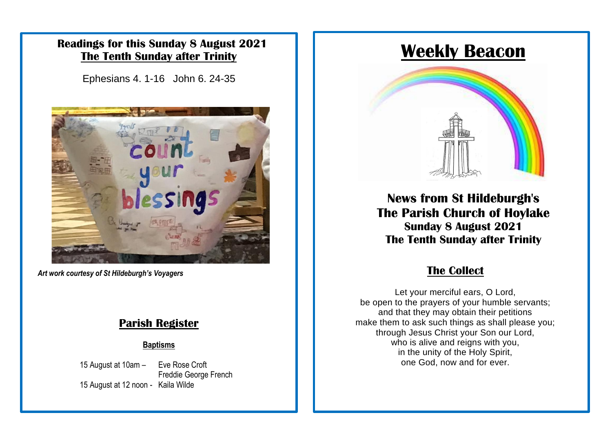### **Readings for this Sunday 8 August 2021 The Tenth Sunday after Trinity**

Ephesians 4. 1-16 John 6. 24-35



Art work courtesy of *St Hildeburgh's Voyagers* 

#### **Parish Register**

#### **Baptisms**

15 August at 10am – Eve Rose Croft Freddie George French 15 August at 12 noon - Kaila Wilde

# **Weekly Beacon**



**News from St Hildeburgh's The Parish Church of Hoylake Sunday 8 August 2021 The Tenth Sunday after Trinity**

#### **The Collect**

Let your merciful ears, O Lord, be open to the prayers of your humble servants; and that they may obtain their petitions make them to ask such things as shall please you; through Jesus Christ your Son our Lord, who is alive and reigns with you, in the unity of the Holy Spirit, one God, now and for ever.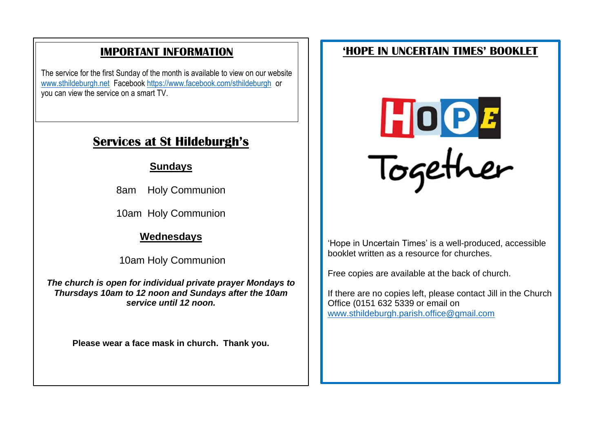## **IMPORTANT INFORMATION**

The service for the first Sunday of the month is available to view on our website [www.sthildeburgh.net](http://www.sthildeburgh.net/) Facebook<https://www.facebook.com/sthildeburgh>or you can view the service on a smart TV.

# **Services at St Hildeburgh's**

#### **Sundays**

8am Holy Communion

10am Holy Communion

### **Wednesdays**

10am Holy Communion

*The church is open for individual private prayer Mondays to Thursdays 10am to 12 noon and Sundays after the 10am service until 12 noon.*

**Please wear a face mask in church. Thank you.**

## **'HOPE IN UNCERTAIN TIMES' BOOKLET**



'Hope in Uncertain Times' is a well-produced, accessible booklet written as a resource for churches.

Free copies are available at the back of church.

If there are no copies left, please contact Jill in the Church Office (0151 632 5339 or email on [www.sthildeburgh.parish.office@gmail.com](http://www.sthildeburgh.parish.office@gmail.com)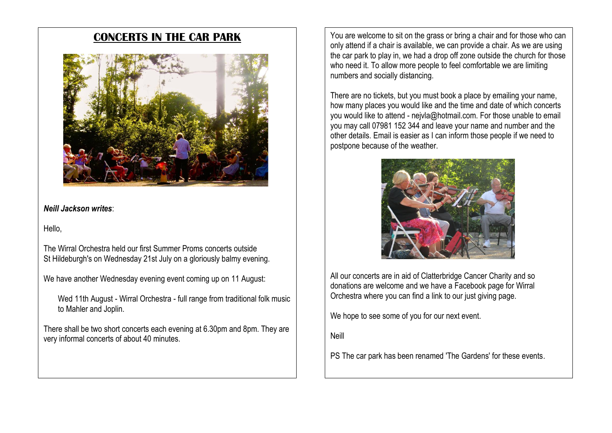### **CONCERTS IN THE CAR PARK**



#### *Neill Jackson writes*:

Hello,

The Wirral Orchestra held our first Summer Proms concerts outside St Hildeburgh's on Wednesday 21st July on a gloriously balmy evening.

We have another Wednesday evening event coming up on 11 August:

Wed 11th August - Wirral Orchestra - full range from traditional folk music to Mahler and Joplin.

There shall be two short concerts each evening at 6.30pm and 8pm. They are very informal concerts of about 40 minutes.

You are welcome to sit on the grass or bring a chair and for those who can only attend if a chair is available, we can provide a chair. As we are using the car park to play in, we had a drop off zone outside the church for those who need it. To allow more people to feel comfortable we are limiting numbers and socially distancing.

There are no tickets, but you must book a place by emailing your name, how many places you would like and the time and date of which concerts you would like to attend - nejvla@hotmail.com. For those unable to email you may call 07981 152 344 and leave your name and number and the other details. Email is easier as I can inform those people if we need to postpone because of the weather.



All our concerts are in aid of Clatterbridge Cancer Charity and so donations are welcome and we have a Facebook page for Wirral Orchestra where you can find a link to our just giving page.

We hope to see some of you for our next event.

Neill

PS The car park has been renamed 'The Gardens' for these events.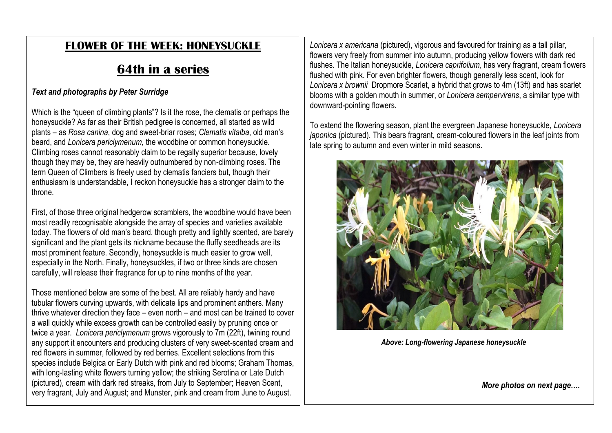## **FLOWER OF THE WEEK: HONEYSUCKLE**

# **64th in a series**

#### *Text and photographs by Peter Surridge*

Which is the "queen of climbing plants"? Is it the rose, the clematis or perhaps the honeysuckle? As far as their British pedigree is concerned, all started as wild plants – as *Rosa canina*, dog and sweet-briar roses; *Clematis vitalba*, old man's beard, and *Lonicera periclymenum,* the woodbine or common honeysuckle. Climbing roses cannot reasonably claim to be regally superior because, lovely though they may be, they are heavily outnumbered by non-climbing roses. The term Queen of Climbers is freely used by clematis fanciers but, though their enthusiasm is understandable, I reckon honeysuckle has a stronger claim to the throne.

First, of those three original hedgerow scramblers, the woodbine would have been most readily recognisable alongside the array of species and varieties available today. The flowers of old man's beard, though pretty and lightly scented, are barely significant and the plant gets its nickname because the fluffy seedheads are its most prominent feature. Secondly, honeysuckle is much easier to grow well, especially in the North. Finally, honeysuckles, if two or three kinds are chosen carefully, will release their fragrance for up to nine months of the year.

Those mentioned below are some of the best. All are reliably hardy and have tubular flowers curving upwards, with delicate lips and prominent anthers. Many thrive whatever direction they face – even north – and most can be trained to cover a wall quickly while excess growth can be controlled easily by pruning once or twice a year. *Lonicera periclymenum* grows vigorously to 7m (22ft), twining round any support it encounters and producing clusters of very sweet-scented cream and red flowers in summer, followed by red berries. Excellent selections from this species include Belgica or Early Dutch with pink and red blooms; Graham Thomas, with long-lasting white flowers turning yellow; the striking Serotina or Late Dutch (pictured), cream with dark red streaks, from July to September; Heaven Scent, very fragrant, July and August; and Munster, pink and cream from June to August.

*Lonicera x americana* (pictured), vigorous and favoured for training as a tall pillar, flowers very freely from summer into autumn, producing yellow flowers with dark red flushes. The Italian honeysuckle, *Lonicera caprifolium*, has very fragrant, cream flowers flushed with pink. For even brighter flowers, though generally less scent, look for *Lonicera x brownii* Dropmore Scarlet, a hybrid that grows to 4m (13ft) and has scarlet blooms with a golden mouth in summer, or *Lonicera sempervirens*, a similar type with downward-pointing flowers.

To extend the flowering season, plant the evergreen Japanese honeysuckle, *Lonicera japonica* (pictured). This bears fragrant, cream-coloured flowers in the leaf joints from late spring to autumn and even winter in mild seasons.



*Above: Long-flowering Japanese honeysuckle*

*More photos on next page….*